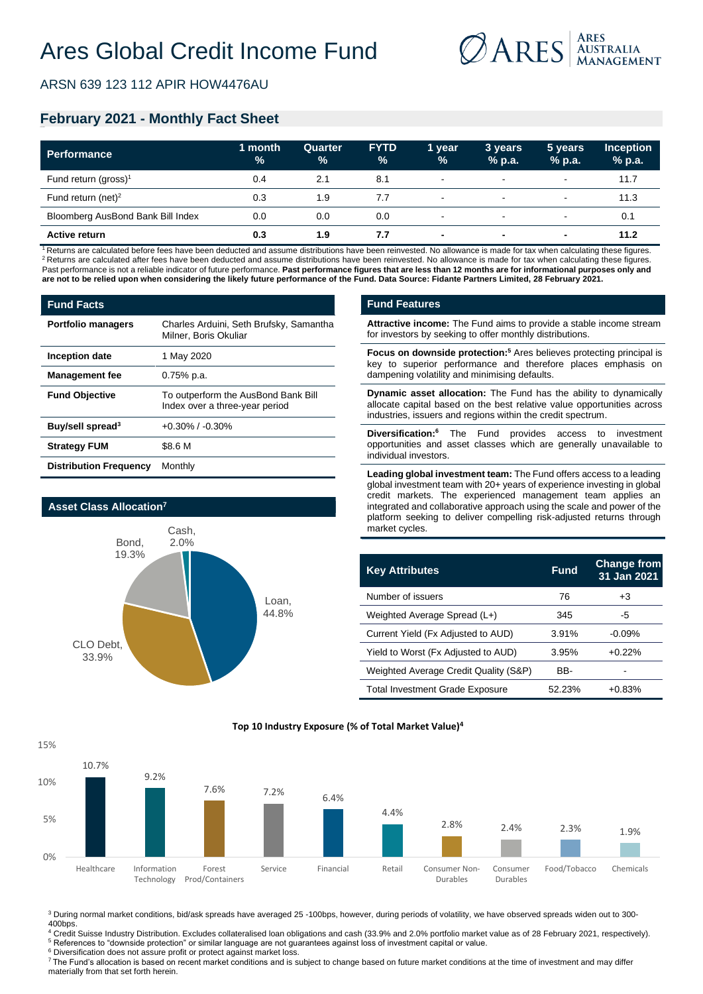

ARSN 639 123 112 APIR HOW4476AU

## **February 2021 - Monthly Fact Sheet**

| <b>Performance</b>                | 1 month<br>$\frac{1}{2}$ | <b>Quarter</b><br>$\frac{9}{6}$ | <b>FYTD</b><br>$\frac{9}{6}$ | 1 vear<br>$\frac{9}{6}$ | 3 years<br>% p.a.        | 5 years<br>$%$ p.a.      | <b>Inception</b><br>$%$ p.a. |
|-----------------------------------|--------------------------|---------------------------------|------------------------------|-------------------------|--------------------------|--------------------------|------------------------------|
| Fund return (gross) <sup>1</sup>  | 0.4                      | 2.1                             | 8.1                          | $\sim$                  | $\sim$                   | $\sim$                   | 11.7                         |
| Fund return (net) <sup>2</sup>    | 0.3                      | 1.9                             | 7.7                          | $\sim$                  | $\sim$                   | $\overline{\phantom{a}}$ | 11.3                         |
| Bloomberg AusBond Bank Bill Index | 0.0                      | 0.0                             | 0.0                          | $\sim$                  | $\sim$                   | $\sim$                   | 0.1                          |
| <b>Active return</b>              | 0.3                      | 1.9                             | 7.7                          | $\blacksquare$          | $\overline{\phantom{0}}$ | $\blacksquare$           | 11.2                         |

<sup>1</sup> Returns are calculated before fees have been deducted and assume distributions have been reinvested. No allowance is made for tax when calculating these figures. <sup>2</sup> Returns are calculated after fees have been deducted and assume distributions have been reinvested. No allowance is made for tax when calculating these figures. Past performance is not a reliable indicator of future performance. Past performance figures that are less than 12 months are for informational purposes only and **are not to be relied upon when considering the likely future performance of the Fund. Data Source: Fidante Partners Limited, 28 February 2021.**

| <b>Fund Facts</b>             |                                                                       |  |  |  |
|-------------------------------|-----------------------------------------------------------------------|--|--|--|
| <b>Portfolio managers</b>     | Charles Arduini, Seth Brufsky, Samantha<br>Milner, Boris Okuliar      |  |  |  |
| Inception date                | 1 May 2020                                                            |  |  |  |
| <b>Management fee</b>         | $0.75%$ p.a.                                                          |  |  |  |
| <b>Fund Objective</b>         | To outperform the AusBond Bank Bill<br>Index over a three-year period |  |  |  |
| Buy/sell spread <sup>3</sup>  | $+0.30\%$ / $-0.30\%$                                                 |  |  |  |
| <b>Strategy FUM</b>           | \$8.6 M                                                               |  |  |  |
| <b>Distribution Frequency</b> | Monthly                                                               |  |  |  |



#### **Fund Features**

**Attractive income:** The Fund aims to provide a stable income stream for investors by seeking to offer monthly distributions.

**Focus on downside protection:<sup>5</sup>** Ares believes protecting principal is key to superior performance and therefore places emphasis on dampening volatility and minimising defaults.

**Dynamic asset allocation:** The Fund has the ability to dynamically allocate capital based on the best relative value opportunities across industries, issuers and regions within the credit spectrum.

**Diversification:<sup>6</sup>** The Fund provides access to investment opportunities and asset classes which are generally unavailable to individual investors.

**Leading global investment team:** The Fund offers access to a leading global investment team with 20+ years of experience investing in global credit markets. The experienced management team applies an integrated and collaborative approach using the scale and power of the platform seeking to deliver compelling risk-adjusted returns through market cycles.

| <b>Key Attributes</b>                  | <b>Fund</b> | <b>Change from</b><br>31 Jan 2021 |
|----------------------------------------|-------------|-----------------------------------|
| Number of issuers                      | 76          | $+3$                              |
| Weighted Average Spread (L+)           | 345         | -5                                |
| Current Yield (Fx Adjusted to AUD)     | 3.91%       | $-0.09%$                          |
| Yield to Worst (Fx Adjusted to AUD)    | 3.95%       | $+0.22%$                          |
| Weighted Average Credit Quality (S&P)  | BB-         |                                   |
| <b>Total Investment Grade Exposure</b> | 52.23%      | $+0.83%$                          |



**Top 10 Industry Exposure (% of Total Market Value)4**

<sup>3</sup> During normal market conditions, bid/ask spreads have averaged 25 -100bps, however, during periods of volatility, we have observed spreads widen out to 300-400bps.

<sup>4</sup> Credit Suisse Industry Distribution. Excludes collateralised loan obligations and cash (33.9% and 2.0% portfolio market value as of 28 February 2021, respectively). <sup>5</sup> References to "downside protection" or similar language are not guarantees against loss of investment capital or value.

<sup>6</sup> Diversification does not assure profit or protect against market loss.

<sup>7</sup>The Fund's allocation is based on recent market conditions and is subject to change based on future market conditions at the time of investment and may differ materially from that set forth herein.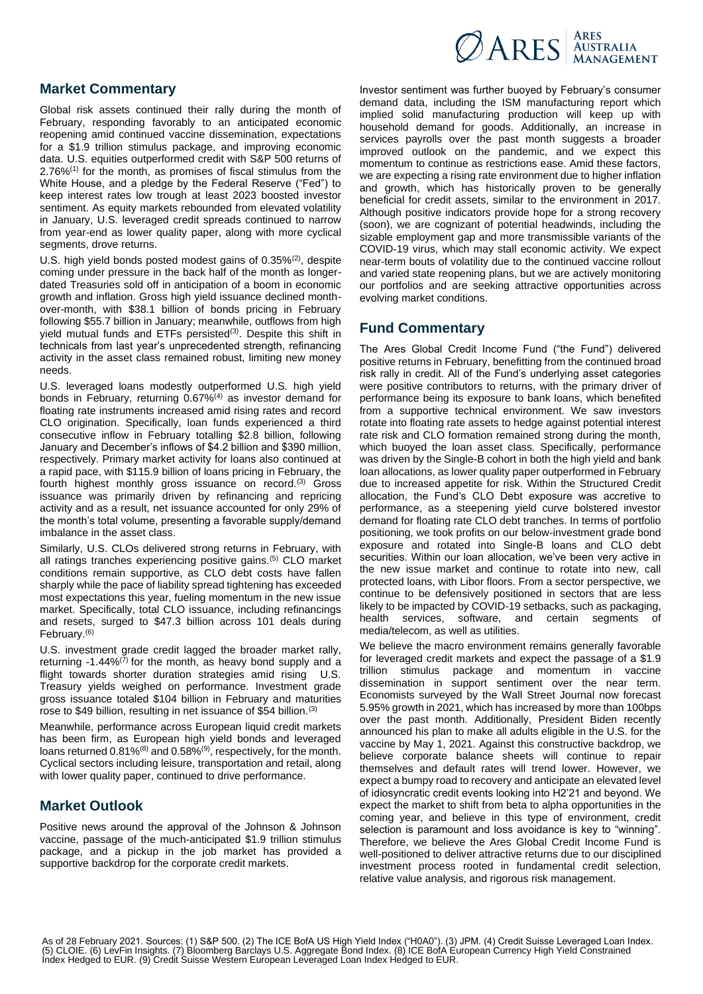

#### **Market Commentary**

Global risk assets continued their rally during the month of February, responding favorably to an anticipated economic reopening amid continued vaccine dissemination, expectations for a \$1.9 trillion stimulus package, and improving economic data. U.S. equities outperformed credit with S&P 500 returns of  $2.76\%$ <sup>(1)</sup> for the month, as promises of fiscal stimulus from the White House, and a pledge by the Federal Reserve ("Fed") to keep interest rates low trough at least 2023 boosted investor sentiment. As equity markets rebounded from elevated volatility in January, U.S. leveraged credit spreads continued to narrow from year-end as lower quality paper, along with more cyclical segments, drove returns.

U.S. high yield bonds posted modest gains of 0.35%<sup>(2)</sup>, despite coming under pressure in the back half of the month as longerdated Treasuries sold off in anticipation of a boom in economic growth and inflation. Gross high yield issuance declined monthover-month, with \$38.1 billion of bonds pricing in February following \$55.7 billion in January; meanwhile, outflows from high yield mutual funds and ETFs persisted<sup>(3)</sup>. Despite this shift in technicals from last year's unprecedented strength, refinancing activity in the asset class remained robust, limiting new money needs.

U.S. leveraged loans modestly outperformed U.S. high yield bonds in February, returning 0.67%(4) as investor demand for floating rate instruments increased amid rising rates and record CLO origination. Specifically, loan funds experienced a third consecutive inflow in February totalling \$2.8 billion, following January and December's inflows of \$4.2 billion and \$390 million, respectively. Primary market activity for loans also continued at a rapid pace, with \$115.9 billion of loans pricing in February, the fourth highest monthly gross issuance on record.<sup>(3)</sup> Gross issuance was primarily driven by refinancing and repricing activity and as a result, net issuance accounted for only 29% of the month's total volume, presenting a favorable supply/demand imbalance in the asset class.

Similarly, U.S. CLOs delivered strong returns in February, with all ratings tranches experiencing positive gains.(5) CLO market conditions remain supportive, as CLO debt costs have fallen sharply while the pace of liability spread tightening has exceeded most expectations this year, fueling momentum in the new issue market. Specifically, total CLO issuance, including refinancings and resets, surged to \$47.3 billion across 101 deals during February. (6)

U.S. investment grade credit lagged the broader market rally, returning  $-1.44\%$ <sup> $(7)$ </sup> for the month, as heavy bond supply and a flight towards shorter duration strategies amid rising U.S. Treasury yields weighed on performance. Investment grade gross issuance totaled \$104 billion in February and maturities rose to \$49 billion, resulting in net issuance of \$54 billion.(3)

Meanwhile, performance across European liquid credit markets has been firm, as European high yield bonds and leveraged loans returned 0.81%<sup>(8)</sup> and 0.58%<sup>(9)</sup>, respectively, for the month. Cyclical sectors including leisure, transportation and retail, along with lower quality paper, continued to drive performance.

### **Market Outlook**

Positive news around the approval of the Johnson & Johnson vaccine, passage of the much-anticipated \$1.9 trillion stimulus package, and a pickup in the job market has provided a supportive backdrop for the corporate credit markets.

Investor sentiment was further buoyed by February's consumer demand data, including the ISM manufacturing report which implied solid manufacturing production will keep up with household demand for goods. Additionally, an increase in services payrolls over the past month suggests a broader improved outlook on the pandemic, and we expect this momentum to continue as restrictions ease. Amid these factors, we are expecting a rising rate environment due to higher inflation and growth, which has historically proven to be generally beneficial for credit assets, similar to the environment in 2017. Although positive indicators provide hope for a strong recovery (soon), we are cognizant of potential headwinds, including the sizable employment gap and more transmissible variants of the COVID-19 virus, which may stall economic activity. We expect near-term bouts of volatility due to the continued vaccine rollout and varied state reopening plans, but we are actively monitoring our portfolios and are seeking attractive opportunities across evolving market conditions.

### **Fund Commentary**

The Ares Global Credit Income Fund ("the Fund") delivered positive returns in February, benefitting from the continued broad risk rally in credit. All of the Fund's underlying asset categories were positive contributors to returns, with the primary driver of performance being its exposure to bank loans, which benefited from a supportive technical environment. We saw investors rotate into floating rate assets to hedge against potential interest rate risk and CLO formation remained strong during the month, which buoyed the loan asset class. Specifically, performance was driven by the Single-B cohort in both the high yield and bank loan allocations, as lower quality paper outperformed in February due to increased appetite for risk. Within the Structured Credit allocation, the Fund's CLO Debt exposure was accretive to performance, as a steepening yield curve bolstered investor demand for floating rate CLO debt tranches. In terms of portfolio positioning, we took profits on our below-investment grade bond exposure and rotated into Single-B loans and CLO debt securities. Within our loan allocation, we've been very active in the new issue market and continue to rotate into new, call protected loans, with Libor floors. From a sector perspective, we continue to be defensively positioned in sectors that are less likely to be impacted by COVID-19 setbacks, such as packaging, health services, software, and certain segments of media/telecom, as well as utilities.

We believe the macro environment remains generally favorable for leveraged credit markets and expect the passage of a \$1.9 trillion stimulus package and momentum in vaccine dissemination in support sentiment over the near term. Economists surveyed by the Wall Street Journal now forecast 5.95% growth in 2021, which has increased by more than 100bps over the past month. Additionally, President Biden recently announced his plan to make all adults eligible in the U.S. for the vaccine by May 1, 2021. Against this constructive backdrop, we believe corporate balance sheets will continue to repair themselves and default rates will trend lower. However, we expect a bumpy road to recovery and anticipate an elevated level of idiosyncratic credit events looking into H2'21 and beyond. We expect the market to shift from beta to alpha opportunities in the coming year, and believe in this type of environment, credit selection is paramount and loss avoidance is key to "winning". Therefore, we believe the Ares Global Credit Income Fund is well-positioned to deliver attractive returns due to our disciplined investment process rooted in fundamental credit selection, relative value analysis, and rigorous risk management.

As of 28 February 2021. Sources: (1) S&P 500. (2) The ICE BofA US High Yield Index ("H0A0"). (3) JPM. (4) Credit Suisse Leveraged Loan Index.<br>(5) CLOIE. (6) LevFin Insights. (7) Bloomberg Barclays U.S. Aggregate Bond Index Index Hedged to EUR. (9) Credit Suisse Western European Leveraged Loan Index Hedged to EUR.